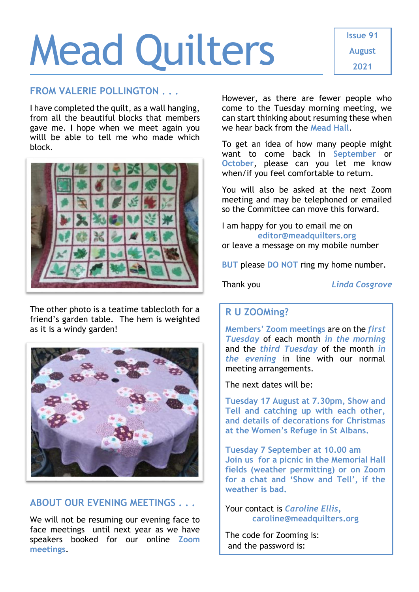# Mead Quilters

#### **FROM VALERIE POLLINGTON . . .**

I have completed the quilt, as a wall hanging, from all the beautiful blocks that members gave me. I hope when we meet again you willl be able to tell me who made which block.



The other photo is a teatime tablecloth for a friend's garden table. The hem is weighted as it is a windy garden!



## **ABOUT OUR EVENING MEETINGS . . .**

We will not be resuming our evening face to face meetings until next year as we have speakers booked for our online **Zoom meetings**.

However, as there are fewer people who come to the Tuesday morning meeting, we can start thinking about resuming these when we hear back from the **Mead Hall**.

To get an idea of how many people might want to come back in **September** or **October**, please can you let me know when/if you feel comfortable to return.

You will also be asked at the next Zoom meeting and may be telephoned or emailed so the Committee can move this forward.

I am happy for you to email me on **[editor@meadquilters.org](mailto:editor@meadquilters.org)** or leave a message on my mobile number

**BUT** please **DO NOT** ring my home number.

Thank you *Linda Cosgrove*

# **R U ZOOMing?**

**Members' Zoom meetings** are on the *first Tuesday* of each month *in the morning* and the *third Tuesday* of the month *in the evening* in line with our normal meeting arrangements.

The next dates will be:

**Tuesday 17 August at 7.30pm, Show and Tell and catching up with each other, and details of decorations for Christmas at the Women's Refuge in St Albans.** 

**Tuesday 7 September at 10.00 am Join us for a picnic in the Memorial Hall fields (weather permitting) or on Zoom for a chat and 'Show and Tell', if the weather is bad.**

Your contact is *Caroline Ellis,* **[caroline@meadquilters.org](mailto:carolineellis99@aol.com)**

The code for Zooming is: and the password is: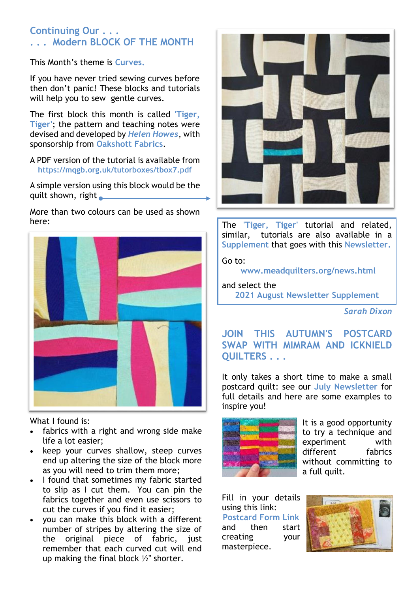## **Continuing Our . . . . . . Modern BLOCK OF THE MONTH**

This Month's theme is **Curves.**

If you have never tried sewing curves before then don't panic! These blocks and tutorials will help you to sew gentle curves.

The first block this month is called **'Tiger, Tiger'**; the pattern and teaching notes were devised and developed by *Helen Howes*, with sponsorship from **Oakshott Fabrics**.

A PDF version of the tutorial is available from **<https://mqgb.org.uk/tutorboxes/tbox7.pdf>**

A simple version using this block would be the quilt shown, right

More than two colours can be used as shown here:



What I found is:

- fabrics with a right and wrong side make life a lot easier;
- keep your curves shallow, steep curves end up altering the size of the block more as you will need to trim them more;
- I found that sometimes my fabric started to slip as I cut them. You can pin the fabrics together and even use scissors to cut the curves if you find it easier;
- you can make this block with a different number of stripes by altering the size of the original piece of fabric, just remember that each curved cut will end up making the final block ½" shorter.



The **'Tiger, Tiger'** tutorial and related, similar, tutorials are also available in a **Supplement** that goes with this **Newsletter.**

Go to:

**[www.meadquilters.org/news.html](http://www.meadquilters.org/news.html)**

and select the **2021 August Newsletter Supplement**

*Sarah Dixon*

**JOIN THIS AUTUMN'S POSTCARD SWAP WITH MIMRAM AND ICKNIELD QUILTERS . . .**

It only takes a short time to make a small postcard quilt: see our **July Newsletter** for full details and here are some examples to inspire you!



It is a good opportunity to try a technique and experiment with different fabrics without committing to a full quilt.

Fill in your details using this link: **[Postcard Form Link](https://docs.google.com/forms/d/1s0T5ZX1zd3rz3O0dBK3o37hdpBw5pqOVkJsRGxAbXYU/viewform?edit_requested=true)** and then start creating your masterpiece.